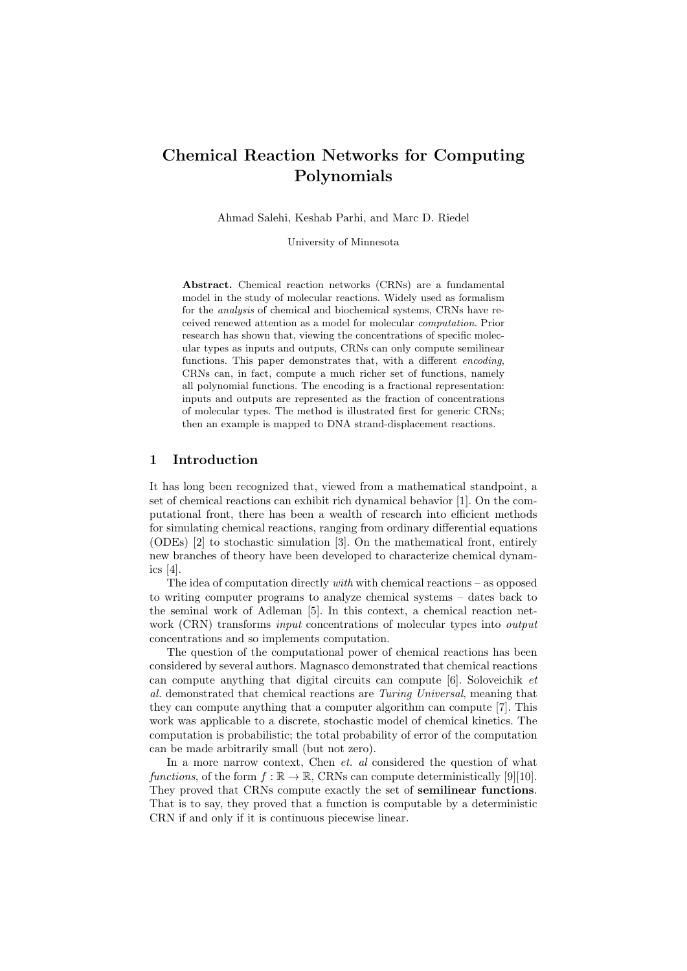# Chemical Reaction Networks for Computing Polynomials

Ahmad Salehi, Keshab Parhi, and Marc D. Riedel

University of Minnesota

Abstract. Chemical reaction networks (CRNs) are a fundamental model in the study of molecular reactions. Widely used as formalism for the analysis of chemical and biochemical systems, CRNs have received renewed attention as a model for molecular computation. Prior research has shown that, viewing the concentrations of specific molecular types as inputs and outputs, CRNs can only compute semilinear functions. This paper demonstrates that, with a different *encoding*, CRNs can, in fact, compute a much richer set of functions, namely all polynomial functions. The encoding is a fractional representation: inputs and outputs are represented as the fraction of concentrations of molecular types. The method is illustrated first for generic CRNs; then an example is mapped to DNA strand-displacement reactions.

## 1 Introduction

It has long been recognized that, viewed from a mathematical standpoint, a set of chemical reactions can exhibit rich dynamical behavior [1]. On the computational front, there has been a wealth of research into efficient methods for simulating chemical reactions, ranging from ordinary differential equations (ODEs) [2] to stochastic simulation [3]. On the mathematical front, entirely new branches of theory have been developed to characterize chemical dynamics [4].

The idea of computation directly with with chemical reactions – as opposed to writing computer programs to analyze chemical systems – dates back to the seminal work of Adleman [5]. In this context, a chemical reaction network (CRN) transforms *input* concentrations of molecular types into *output* concentrations and so implements computation.

The question of the computational power of chemical reactions has been considered by several authors. Magnasco demonstrated that chemical reactions can compute anything that digital circuits can compute [6]. Soloveichik et al. demonstrated that chemical reactions are Turing Universal, meaning that they can compute anything that a computer algorithm can compute [7]. This work was applicable to a discrete, stochastic model of chemical kinetics. The computation is probabilistic; the total probability of error of the computation can be made arbitrarily small (but not zero).

In a more narrow context, Chen *et. al* considered the question of what functions, of the form  $f : \mathbb{R} \to \mathbb{R}$ , CRNs can compute deterministically [9][10]. They proved that CRNs compute exactly the set of semilinear functions. That is to say, they proved that a function is computable by a deterministic CRN if and only if it is continuous piecewise linear.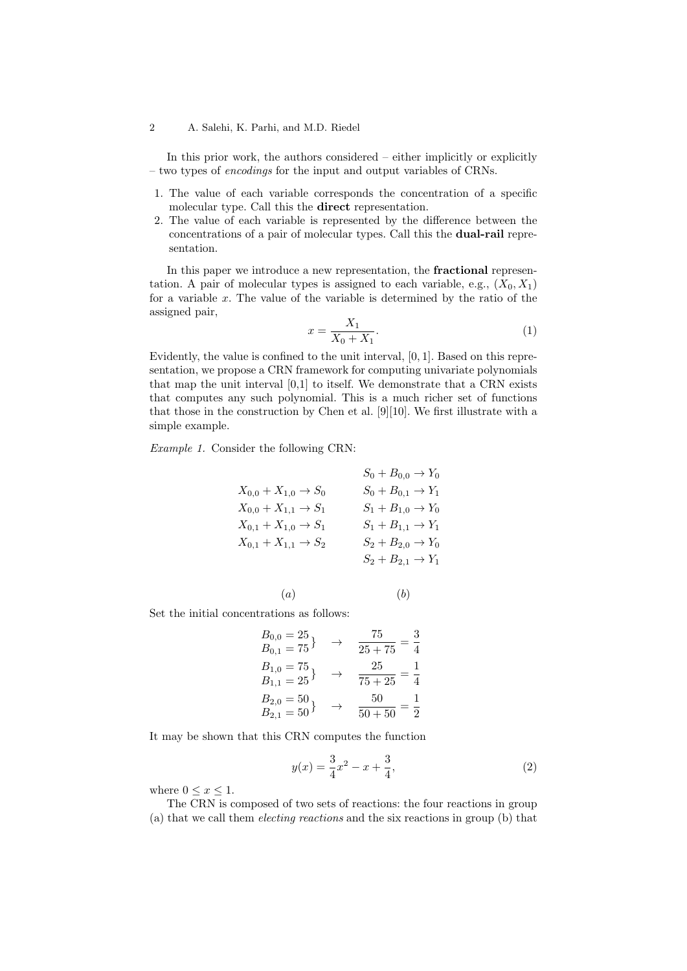In this prior work, the authors considered – either implicitly or explicitly – two types of encodings for the input and output variables of CRNs.

- 1. The value of each variable corresponds the concentration of a specific molecular type. Call this the direct representation.
- 2. The value of each variable is represented by the difference between the concentrations of a pair of molecular types. Call this the dual-rail representation.

In this paper we introduce a new representation, the fractional representation. A pair of molecular types is assigned to each variable, e.g.,  $(X_0, X_1)$ for a variable  $x$ . The value of the variable is determined by the ratio of the assigned pair,

$$
x = \frac{X_1}{X_0 + X_1}.\tag{1}
$$

Evidently, the value is confined to the unit interval, [0, 1]. Based on this representation, we propose a CRN framework for computing univariate polynomials that map the unit interval [0,1] to itself. We demonstrate that a CRN exists that computes any such polynomial. This is a much richer set of functions that those in the construction by Chen et al. [9][10]. We first illustrate with a simple example.

Example 1. Consider the following CRN:

$$
S_0 + B_{0,0} \rightarrow Y_0
$$
  
\n
$$
X_{0,0} + X_{1,0} \rightarrow S_0
$$
  
\n
$$
X_{0,0} + X_{1,1} \rightarrow S_1
$$
  
\n
$$
X_{0,1} + X_{1,0} \rightarrow S_1
$$
  
\n
$$
X_{0,1} + X_{1,1} \rightarrow S_2
$$
  
\n
$$
S_1 + B_{1,0} \rightarrow Y_0
$$
  
\n
$$
S_1 + B_{1,1} \rightarrow Y_1
$$
  
\n
$$
S_1 + B_{1,1} \rightarrow Y_1
$$
  
\n
$$
S_2 + B_{2,0} \rightarrow Y_0
$$
  
\n
$$
S_2 + B_{2,1} \rightarrow Y_1
$$

$$
\hspace{7.20cm} (a) \hspace{7.0cm} (b)
$$

Set the initial concentrations as follows:

$$
B_{0,0} = 25
$$
  
\n
$$
B_{0,1} = 75
$$
  
\n
$$
B_{1,0} = 75
$$
  
\n
$$
B_{1,1} = 25
$$
  
\n
$$
B_{2,0} = 50
$$
  
\n
$$
B_{2,1} = 50
$$
  
\n
$$
B_{2,1} = 50
$$
  
\n
$$
B_{3,1} = 50
$$
  
\n
$$
B_{3,1} = 50
$$
  
\n
$$
B_{3,1} = 50
$$
  
\n
$$
B_{3,1} = 50
$$
  
\n
$$
B_{3,1} = 50
$$
  
\n
$$
B_{3,1} = 50
$$
  
\n
$$
B_{3,1} = 50
$$
  
\n
$$
B_{3,1} = 50
$$
  
\n
$$
B_{3,1} = 50
$$
  
\n
$$
B_{3,1} = 50
$$

It may be shown that this CRN computes the function

$$
y(x) = \frac{3}{4}x^2 - x + \frac{3}{4},
$$
\n(2)

where  $0 \leq x \leq 1$ .

The CRN is composed of two sets of reactions: the four reactions in group (a) that we call them electing reactions and the six reactions in group (b) that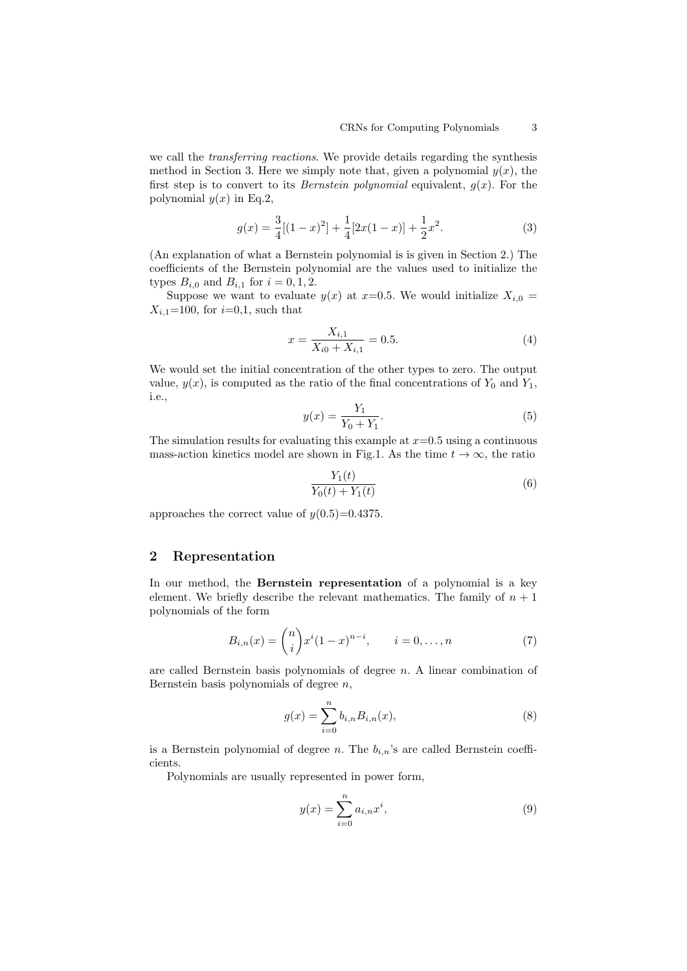we call the transferring reactions. We provide details regarding the synthesis method in Section 3. Here we simply note that, given a polynomial  $y(x)$ , the first step is to convert to its *Bernstein polynomial* equivalent,  $q(x)$ . For the polynomial  $y(x)$  in Eq.2,

$$
g(x) = \frac{3}{4}[(1-x)^2] + \frac{1}{4}[2x(1-x)] + \frac{1}{2}x^2.
$$
 (3)

(An explanation of what a Bernstein polynomial is is given in Section 2.) The coefficients of the Bernstein polynomial are the values used to initialize the types  $B_{i,0}$  and  $B_{i,1}$  for  $i = 0, 1, 2$ .

Suppose we want to evaluate  $y(x)$  at  $x=0.5$ . We would initialize  $X_{i,0} =$  $X_{i,1}=100$ , for  $i=0,1$ , such that

$$
x = \frac{X_{i,1}}{X_{i0} + X_{i,1}} = 0.5.
$$
 (4)

We would set the initial concentration of the other types to zero. The output value,  $y(x)$ , is computed as the ratio of the final concentrations of  $Y_0$  and  $Y_1$ , i.e.,

$$
y(x) = \frac{Y_1}{Y_0 + Y_1}.\tag{5}
$$

The simulation results for evaluating this example at  $x=0.5$  using a continuous mass-action kinetics model are shown in Fig.1. As the time  $t \to \infty$ , the ratio

$$
\frac{Y_1(t)}{Y_0(t) + Y_1(t)}\tag{6}
$$

approaches the correct value of  $y(0.5)=0.4375$ .

#### 2 Representation

In our method, the Bernstein representation of a polynomial is a key element. We briefly describe the relevant mathematics. The family of  $n + 1$ polynomials of the form

$$
B_{i,n}(x) = \binom{n}{i} x^i (1-x)^{n-i}, \qquad i = 0, \dots, n
$$
 (7)

are called Bernstein basis polynomials of degree n. A linear combination of Bernstein basis polynomials of degree  $n$ ,

$$
g(x) = \sum_{i=0}^{n} b_{i,n} B_{i,n}(x),
$$
\n(8)

is a Bernstein polynomial of degree n. The  $b_{i,n}$ 's are called Bernstein coefficients.

Polynomials are usually represented in power form,

$$
y(x) = \sum_{i=0}^{n} a_{i,n} x^{i},
$$
\n(9)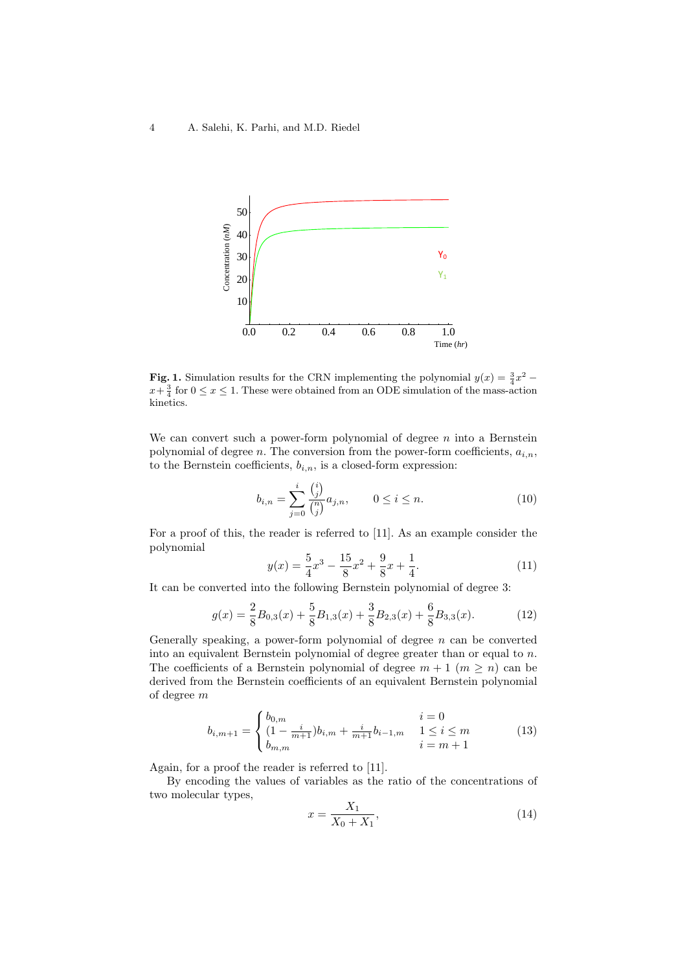

**Fig. 1.** Simulation results for the CRN implementing the polynomial  $y(x) = \frac{3}{4}x^2$  $x + \frac{3}{4}$  for  $0 \le x \le 1$ . These were obtained from an ODE simulation of the mass-action kinetics.

We can convert such a power-form polynomial of degree  $n$  into a Bernstein polynomial of degree n. The conversion from the power-form coefficients,  $a_{i,n}$ , to the Bernstein coefficients,  $b_{i,n}$ , is a closed-form expression:

$$
b_{i,n} = \sum_{j=0}^{i} \frac{\binom{i}{j}}{\binom{n}{j}} a_{j,n}, \qquad 0 \le i \le n.
$$
 (10)

For a proof of this, the reader is referred to [11]. As an example consider the polynomial

$$
y(x) = \frac{5}{4}x^3 - \frac{15}{8}x^2 + \frac{9}{8}x + \frac{1}{4}.
$$
 (11)

It can be converted into the following Bernstein polynomial of degree 3:

$$
g(x) = \frac{2}{8}B_{0,3}(x) + \frac{5}{8}B_{1,3}(x) + \frac{3}{8}B_{2,3}(x) + \frac{6}{8}B_{3,3}(x). \tag{12}
$$

Generally speaking, a power-form polynomial of degree  $n$  can be converted into an equivalent Bernstein polynomial of degree greater than or equal to  $n$ . The coefficients of a Bernstein polynomial of degree  $m + 1$   $(m \ge n)$  can be derived from the Bernstein coefficients of an equivalent Bernstein polynomial of degree m

$$
b_{i,m+1} = \begin{cases} b_{0,m} & i = 0\\ (1 - \frac{i}{m+1})b_{i,m} + \frac{i}{m+1}b_{i-1,m} & 1 \le i \le m\\ b_{m,m} & i = m+1 \end{cases}
$$
(13)

Again, for a proof the reader is referred to [11].

By encoding the values of variables as the ratio of the concentrations of two molecular types,

$$
x = \frac{X_1}{X_0 + X_1},\tag{14}
$$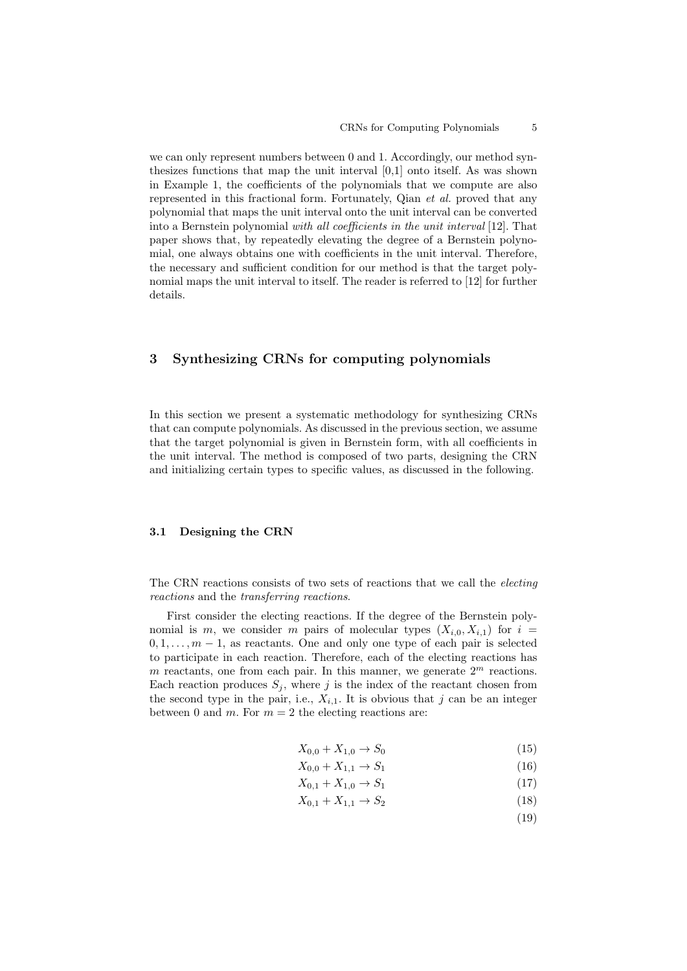we can only represent numbers between 0 and 1. Accordingly, our method synthesizes functions that map the unit interval [0,1] onto itself. As was shown in Example 1, the coefficients of the polynomials that we compute are also represented in this fractional form. Fortunately, Qian et al. proved that any polynomial that maps the unit interval onto the unit interval can be converted into a Bernstein polynomial with all coefficients in the unit interval [12]. That paper shows that, by repeatedly elevating the degree of a Bernstein polynomial, one always obtains one with coefficients in the unit interval. Therefore, the necessary and sufficient condition for our method is that the target polynomial maps the unit interval to itself. The reader is referred to [12] for further details.

### 3 Synthesizing CRNs for computing polynomials

In this section we present a systematic methodology for synthesizing CRNs that can compute polynomials. As discussed in the previous section, we assume that the target polynomial is given in Bernstein form, with all coefficients in the unit interval. The method is composed of two parts, designing the CRN and initializing certain types to specific values, as discussed in the following.

#### 3.1 Designing the CRN

The CRN reactions consists of two sets of reactions that we call the electing reactions and the transferring reactions.

First consider the electing reactions. If the degree of the Bernstein polynomial is m, we consider m pairs of molecular types  $(X_{i,0}, X_{i,1})$  for  $i =$  $0, 1, \ldots, m-1$ , as reactants. One and only one type of each pair is selected to participate in each reaction. Therefore, each of the electing reactions has m reactants, one from each pair. In this manner, we generate  $2<sup>m</sup>$  reactions. Each reaction produces  $S_i$ , where j is the index of the reactant chosen from the second type in the pair, i.e.,  $X_{i,1}$ . It is obvious that j can be an integer between 0 and m. For  $m = 2$  the electing reactions are:

$$
X_{0,0} + X_{1,0} \to S_0 \tag{15}
$$

$$
X_{0,0} + X_{1,1} \to S_1 \tag{16}
$$

$$
X_{0,1} + X_{1,0} \to S_1 \tag{17}
$$

- $X_{0.1} + X_{1.1} \rightarrow S_2$  (18)
	- (19)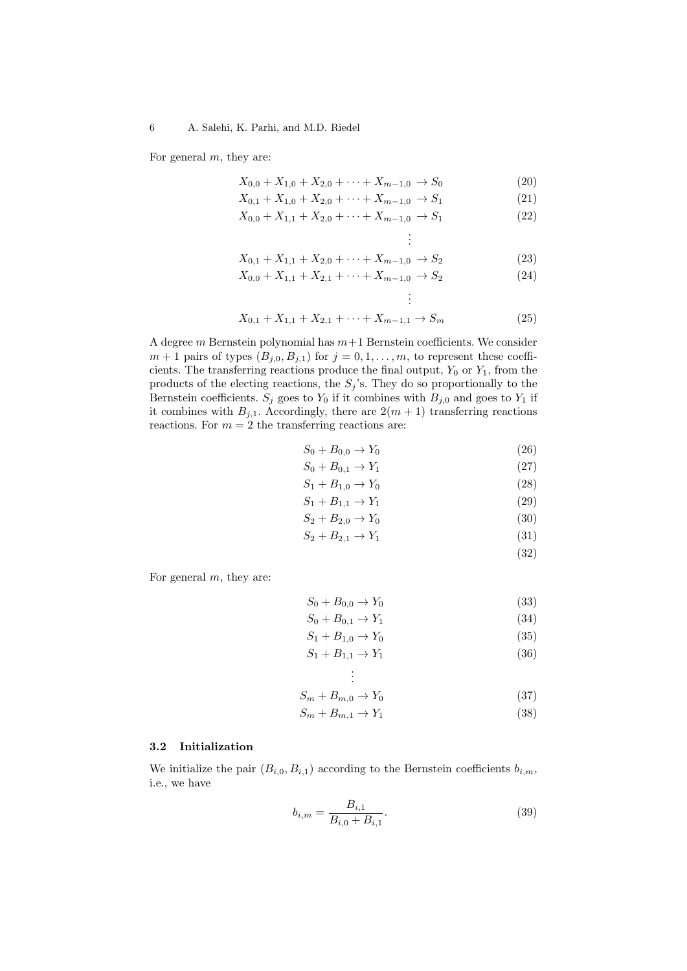For general  $m$ , they are:

$$
X_{0,0} + X_{1,0} + X_{2,0} + \dots + X_{m-1,0} \to S_0 \tag{20}
$$

$$
X_{0,1} + X_{1,0} + X_{2,0} + \dots + X_{m-1,0} \to S_1 \tag{21}
$$

$$
X_{0,0} + X_{1,1} + X_{2,0} + \dots + X_{m-1,0} \to S_1 \tag{22}
$$

$$
\vdots
$$
  
  $X_{0,1} + X_{1,1} + X_{2,0} + \dots + X_{m-1,0} \to S_2$  (23)

$$
X_{0,0} + X_{1,1} + X_{2,1} + \dots + X_{m-1,0} \to S_2 \tag{24}
$$

$$
\vdots
$$
  

$$
X_{0,1} + X_{1,1} + X_{2,1} + \dots + X_{m-1,1} \to S_m
$$
 (25)

A degree m Bernstein polynomial has  $m+1$  Bernstein coefficients. We consider  $m+1$  pairs of types  $(B_{j,0}, B_{j,1})$  for  $j = 0, 1, \ldots, m$ , to represent these coefficients. The transferring reactions produce the final output,  $Y_0$  or  $Y_1$ , from the products of the electing reactions, the  $S_j$ 's. They do so proportionally to the Bernstein coefficients.  $S_j$  goes to  $Y_0$  if it combines with  $B_{j,0}$  and goes to  $Y_1$  if it combines with  $B_{j,1}$ . Accordingly, there are  $2(m + 1)$  transferring reactions reactions. For  $m = 2$  the transferring reactions are:

$$
S_0 + B_{0,0} \to Y_0 \tag{26}
$$

$$
S_0 + B_{0,1} \to Y_1 \tag{27}
$$

$$
S_1 + B_{1,0} \to Y_0 \tag{28}
$$

$$
S_1 + B_{1,1} \to Y_1 \tag{29}
$$

$$
S_2 + B_{2,0} \to Y_0 \tag{30}
$$
  

$$
S_2 + B_{2,1} \to Y_1 \tag{31}
$$

$$
+ D_{2,1} \rightarrow I_1 \tag{31}
$$
\n
$$
\tag{32}
$$

For general  $m$ , they are:

$$
S_0 + B_{0,0} \to Y_0 \tag{33}
$$

$$
S_0 + B_{0,1} \to Y_1 \tag{34}
$$

$$
S_1 + B_{1,0} \to Y_0 \tag{35}
$$

$$
S_1 + B_{1,1} \to Y_1 \tag{36}
$$

$$
\vdots
$$
  

$$
S_m + B_{m,0} \to Y_0
$$
 (37)

$$
S_m + B_{m,1} \to Y_1 \tag{38}
$$

#### 3.2 Initialization

We initialize the pair  $(B_{i,0}, B_{i,1})$  according to the Bernstein coefficients  $b_{i,m}$ , i.e., we have

$$
b_{i,m} = \frac{B_{i,1}}{B_{i,0} + B_{i,1}}.\t(39)
$$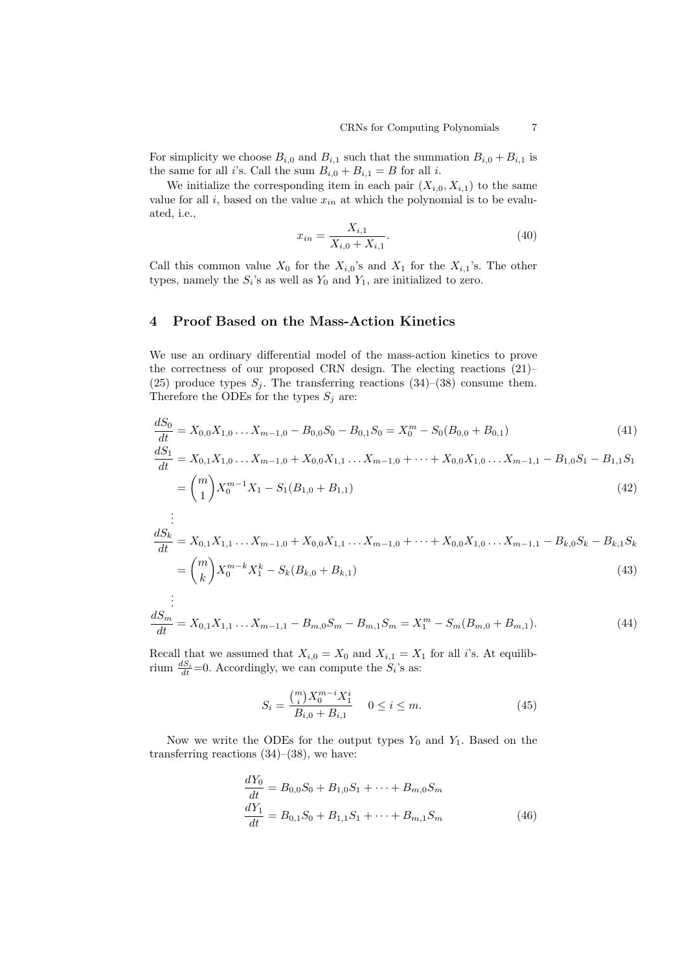For simplicity we choose  $B_{i,0}$  and  $B_{i,1}$  such that the summation  $B_{i,0} + B_{i,1}$  is the same for all *i*'s. Call the sum  $B_{i,0} + B_{i,1} = B$  for all *i*.

We initialize the corresponding item in each pair  $(X_{i,0}, X_{i,1})$  to the same value for all i, based on the value  $x_{in}$  at which the polynomial is to be evaluated, i.e.,

$$
x_{in} = \frac{X_{i,1}}{X_{i,0} + X_{i,1}}.\t(40)
$$

Call this common value  $X_0$  for the  $X_{i,0}$ 's and  $X_1$  for the  $X_{i,1}$ 's. The other types, namely the  $S_i$ 's as well as  $Y_0$  and  $Y_1$ , are initialized to zero.

# 4 Proof Based on the Mass-Action Kinetics

We use an ordinary differential model of the mass-action kinetics to prove the correctness of our proposed CRN design. The electing reactions (21)– (25) produce types  $S_j$ . The transferring reactions (34)–(38) consume them. Therefore the ODEs for the types  $S_i$  are:

$$
\frac{dS_0}{dt} = X_{0,0}X_{1,0} \dots X_{m-1,0} - B_{0,0}S_0 - B_{0,1}S_0 = X_0^m - S_0(B_{0,0} + B_{0,1})
$$
\n(41)

$$
\frac{dS_1}{dt} = X_{0,1}X_{1,0} \dots X_{m-1,0} + X_{0,0}X_{1,1} \dots X_{m-1,0} + \dots + X_{0,0}X_{1,0} \dots X_{m-1,1} - B_{1,0}S_1 - B_{1,1}S_1
$$
\n
$$
= {m \choose 1} X_0^{m-1} X_1 - S_1 (B_{1,0} + B_{1,1})
$$
\n(42)

$$
\frac{dS_k}{dt} = X_{0,1}X_{1,1} \dots X_{m-1,0} + X_{0,0}X_{1,1} \dots X_{m-1,0} + \dots + X_{0,0}X_{1,0} \dots X_{m-1,1} - B_{k,0}S_k - B_{k,1}S_k
$$
\n
$$
= {m \choose k} X_0^{m-k} X_1^k - S_k (B_{k,0} + B_{k,1})
$$
\n(43)

$$
\frac{dS_m}{dt} = X_{0,1}X_{1,1} \dots X_{m-1,1} - B_{m,0}S_m - B_{m,1}S_m = X_1^m - S_m(B_{m,0} + B_{m,1}).
$$
\n(44)

Recall that we assumed that  $X_{i,0} = X_0$  and  $X_{i,1} = X_1$  for all i's. At equilibrium  $\frac{dS_i}{dt} = 0$ . Accordingly, we can compute the  $S_i$ 's as:

$$
S_i = \frac{\binom{m}{i} X_0^{m-i} X_1^i}{B_{i,0} + B_{i,1}} \quad 0 \le i \le m. \tag{45}
$$

Now we write the ODEs for the output types  $Y_0$  and  $Y_1$ . Based on the transferring reactions  $(34)$ – $(38)$ , we have:

$$
\frac{dY_0}{dt} = B_{0,0}S_0 + B_{1,0}S_1 + \dots + B_{m,0}S_m
$$
  
\n
$$
\frac{dY_1}{dt} = B_{0,1}S_0 + B_{1,1}S_1 + \dots + B_{m,1}S_m
$$
\n(46)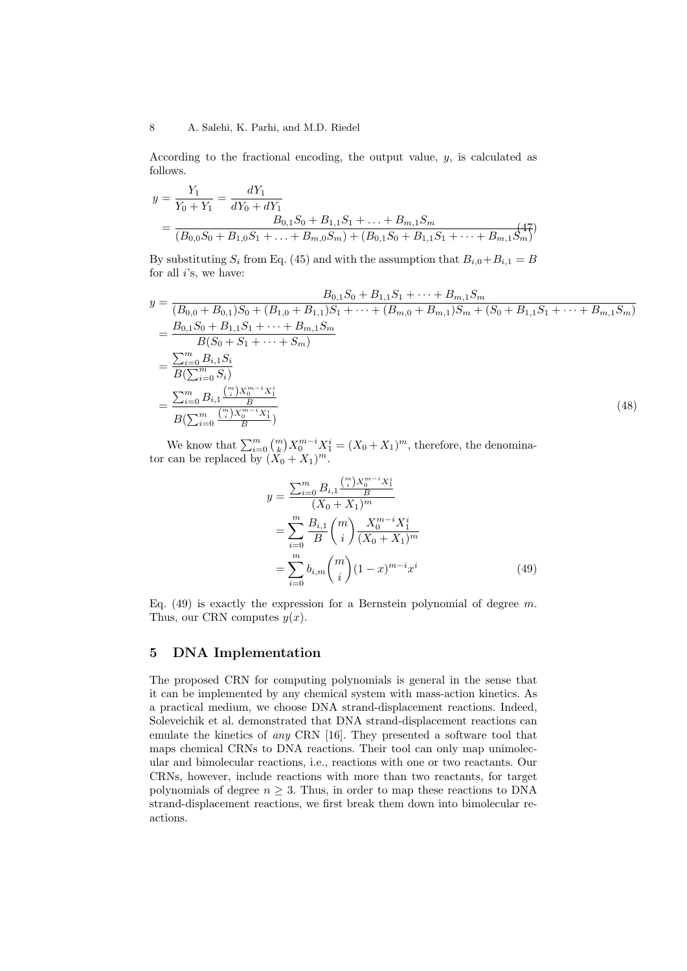According to the fractional encoding, the output value, y, is calculated as follows.

$$
y = \frac{Y_1}{Y_0 + Y_1} = \frac{dY_1}{dY_0 + dY_1}
$$
  
= 
$$
\frac{B_{0,1}S_0 + B_{1,1}S_1 + \dots + B_{m,1}S_m}{(B_{0,0}S_0 + B_{1,0}S_1 + \dots + B_{m,0}S_m) + (B_{0,1}S_0 + B_{1,1}S_1 + \dots + B_{m,1}S_m)}
$$

By substituting  $S_i$  from Eq. (45) and with the assumption that  $B_{i,0}+B_{i,1} = B$ for all  $i$ 's, we have:

$$
y = \frac{B_{0,1}S_0 + B_{1,1}S_1 + \dots + B_{m,1}S_m}{(B_{0,0} + B_{0,1})S_0 + (B_{1,0} + B_{1,1})S_1 + \dots + (B_{m,0} + B_{m,1})S_m + (S_0 + B_{1,1}S_1 + \dots + B_{m,1}S_m)}
$$
  
\n
$$
= \frac{B_{0,1}S_0 + B_{1,1}S_1 + \dots + B_{m,1}S_m}{B(S_0 + S_1 + \dots + S_m)}
$$
  
\n
$$
= \frac{\sum_{i=0}^m B_{i,1}S_i}{B(\sum_{i=0}^m S_i)}
$$
  
\n
$$
= \frac{\sum_{i=0}^m B_{i,1} \frac{\binom{m}{i}X_0^{m-i}X_1^i}{B}}{\binom{m}{i}X_0^{m-i}X_1^i}
$$
  
\n(48)

We know that  $\sum_{i=0}^{m} {m \choose k} X_0^{m-i} X_1^i = (X_0 + X_1)^m$ , therefore, the denominator can be replaced by  $(X_0 + X_1)^m$ .

$$
y = \frac{\sum_{i=0}^{m} B_{i,1} \frac{\binom{m}{i} X_0^{m-i} X_1^i}{B}}{(X_0 + X_1)^m}
$$
  
= 
$$
\sum_{i=0}^{m} \frac{B_{i,1}}{B} \binom{m}{i} \frac{X_0^{m-i} X_1^i}{(X_0 + X_1)^m}
$$
  
= 
$$
\sum_{i=0}^{m} b_{i,m} \binom{m}{i} (1-x)^{m-i} x^i
$$
(49)

Eq. (49) is exactly the expression for a Bernstein polynomial of degree  $m$ . Thus, our CRN computes  $y(x)$ .

### 5 DNA Implementation

The proposed CRN for computing polynomials is general in the sense that it can be implemented by any chemical system with mass-action kinetics. As a practical medium, we choose DNA strand-displacement reactions. Indeed, Soleveichik et al. demonstrated that DNA strand-displacement reactions can emulate the kinetics of any CRN [16]. They presented a software tool that maps chemical CRNs to DNA reactions. Their tool can only map unimolecular and bimolecular reactions, i.e., reactions with one or two reactants. Our CRNs, however, include reactions with more than two reactants, for target polynomials of degree  $n \geq 3$ . Thus, in order to map these reactions to DNA strand-displacement reactions, we first break them down into bimolecular reactions.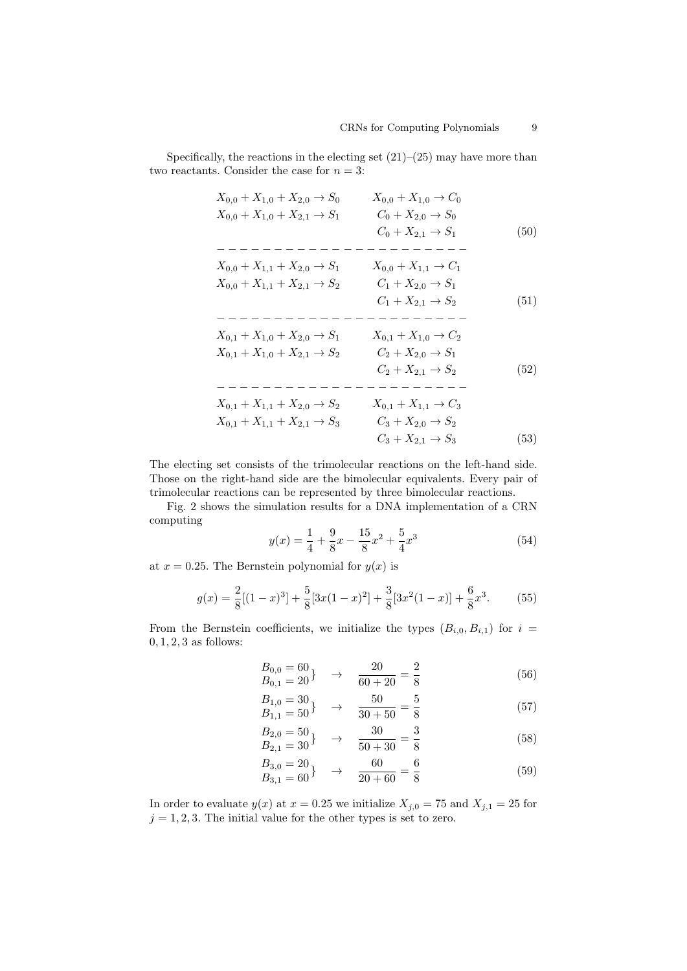Specifically, the reactions in the electing set  $(21)$ – $(25)$  may have more than two reactants. Consider the case for  $n = 3$ :

$$
X_{0,0} + X_{1,0} + X_{2,0} \rightarrow S_{0}
$$

$$
X_{0,0} + X_{1,0} + X_{2,1} \rightarrow S_{1}
$$

$$
C_{0} + X_{2,0} \rightarrow S_{0}
$$

$$
C_{0} + X_{2,0} \rightarrow S_{0}
$$

$$
C_{0} + X_{2,1} \rightarrow S_{1}
$$

$$
C_{0} + X_{2,1} \rightarrow S_{1}
$$

$$
C_{1} + X_{2,0} \rightarrow S_{1}
$$

$$
X_{0,0} + X_{1,1} + X_{2,0} \rightarrow S_{1}
$$

$$
X_{0,0} + X_{1,1} + X_{2,1} \rightarrow S_{2}
$$

$$
C_{1} + X_{2,0} \rightarrow S_{1}
$$

$$
C_{1} + X_{2,1} \rightarrow S_{2}
$$

$$
C_{1} + X_{2,1} \rightarrow S_{2}
$$

$$
C_{1} + X_{2,1} \rightarrow S_{2}
$$

$$
X_{0,1} + X_{1,0} + X_{2,0} \rightarrow S_{1}
$$

$$
X_{0,1} + X_{1,0} \rightarrow C_{2}
$$

$$
X_{0,1} + X_{1,0} + X_{2,1} \rightarrow S_{2}
$$

$$
C_{2} + X_{2,0} \rightarrow S_{1}
$$

$$
C_{2} + X_{2,1} \rightarrow S_{2}
$$

$$
C_{2} + X_{2,1} \rightarrow S_{2}
$$

$$
C_{2} + X_{2,1} \rightarrow S_{2}
$$

$$
X_{0,1} + X_{1,1} + X_{2,0} \rightarrow S_{2}
$$

$$
X_{0,1} + X_{1,1} + X_{2,1} \rightarrow S_{3}
$$

$$
X_{0,1} + X_{1,1} \rightarrow C_{3}
$$

$$
X_{0,1} + X_{1,1} + X_{2,1} \rightarrow S_{3}
$$

$$
C_{3} + X_{2,0} \rightarrow S_{2}
$$

$$
C_{3} + X_{2,1} \rightarrow S_{3}
$$

$$
(53)
$$

The electing set consists of the trimolecular reactions on the left-hand side. Those on the right-hand side are the bimolecular equivalents. Every pair of trimolecular reactions can be represented by three bimolecular reactions.

Fig. 2 shows the simulation results for a DNA implementation of a CRN computing

$$
y(x) = \frac{1}{4} + \frac{9}{8}x - \frac{15}{8}x^2 + \frac{5}{4}x^3
$$
\n(54)

at  $x = 0.25$ . The Bernstein polynomial for  $y(x)$  is

$$
g(x) = \frac{2}{8}[(1-x)^3] + \frac{5}{8}[3x(1-x)^2] + \frac{3}{8}[3x^2(1-x)] + \frac{6}{8}x^3.
$$
 (55)

From the Bernstein coefficients, we initialize the types  $(B_{i,0}, B_{i,1})$  for  $i =$  $0, 1, 2, 3$  as follows:

$$
\begin{array}{ccc}\nB_{0,0} = 60 \\
B_{0,1} = 20\n\end{array} \rightarrow \quad \frac{20}{60 + 20} = \frac{2}{8}
$$
\n(56)

$$
\begin{array}{ccc}\nB_{1,0} = 30 \\
B_{1,1} = 50\n\end{array} \rightarrow \quad \frac{50}{30 + 50} = \frac{5}{8}
$$
\n(57)

$$
\begin{array}{ccc}\nB_{2,0} = 50 \\
B_{2,1} = 30\n\end{array} \rightarrow \frac{30}{50 + 30} = \frac{3}{8}
$$
\n(58)

$$
\begin{array}{ccc}\nB_{3,0} = 20 \\
B_{3,1} = 60\n\end{array} \rightarrow \quad \frac{60}{20 + 60} = \frac{6}{8}
$$
\n(59)

In order to evaluate  $y(x)$  at  $x = 0.25$  we initialize  $X_{j,0} = 75$  and  $X_{j,1} = 25$  for  $j = 1, 2, 3$ . The initial value for the other types is set to zero.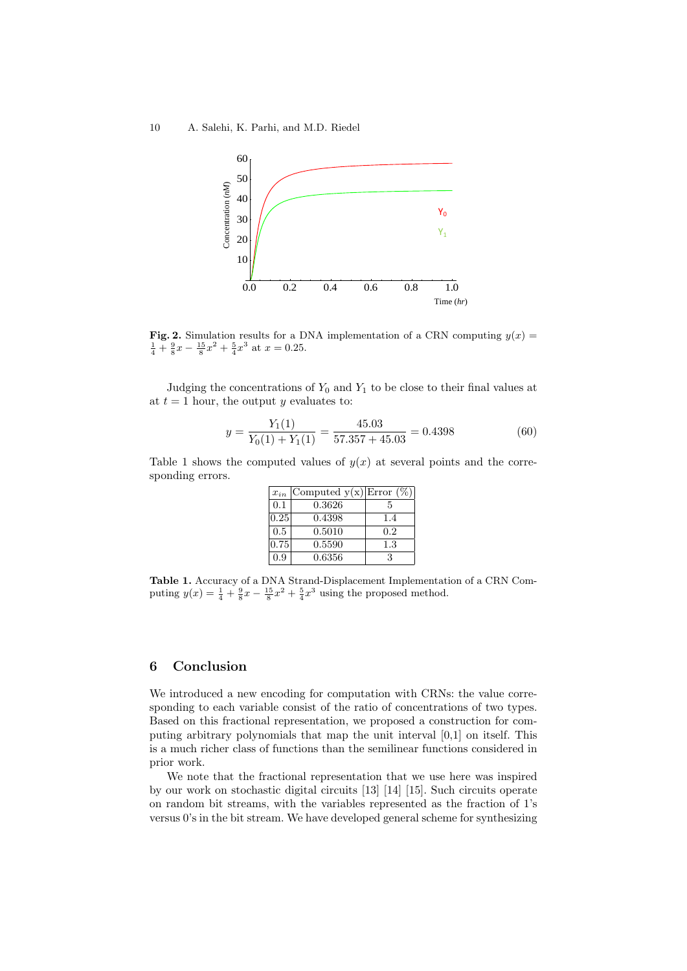

Fig. 2. Simulation results for a DNA implementation of a CRN computing  $y(x) =$  $\frac{1}{4} + \frac{9}{8}x - \frac{15}{8}x^2 + \frac{5}{4}x^3$  at  $x = 0.25$ .

Judging the concentrations of  $Y_0$  and  $Y_1$  to be close to their final values at at  $t = 1$  hour, the output y evaluates to:

$$
y = \frac{Y_1(1)}{Y_0(1) + Y_1(1)} = \frac{45.03}{57.357 + 45.03} = 0.4398
$$
 (60)

Table 1 shows the computed values of  $y(x)$  at several points and the corresponding errors.

| $x_{in}$ | Computed $y(x) Error (\%)$ |     |
|----------|----------------------------|-----|
| 0.1      | 0.3626                     | 5   |
| 0.25     | 0.4398                     | 1.4 |
| 0.5      | 0.5010                     | 0.2 |
| 0.75     | 0.5590                     | 1.3 |
| 0.9      | 0.6356                     | 3   |

Table 1. Accuracy of a DNA Strand-Displacement Implementation of a CRN Computing  $y(x) = \frac{1}{4} + \frac{9}{8}x - \frac{15}{8}x^2 + \frac{5}{4}x^3$  using the proposed method.

# 6 Conclusion

We introduced a new encoding for computation with CRNs: the value corresponding to each variable consist of the ratio of concentrations of two types. Based on this fractional representation, we proposed a construction for computing arbitrary polynomials that map the unit interval [0,1] on itself. This is a much richer class of functions than the semilinear functions considered in prior work.

We note that the fractional representation that we use here was inspired by our work on stochastic digital circuits [13] [14] [15]. Such circuits operate on random bit streams, with the variables represented as the fraction of 1's versus 0's in the bit stream. We have developed general scheme for synthesizing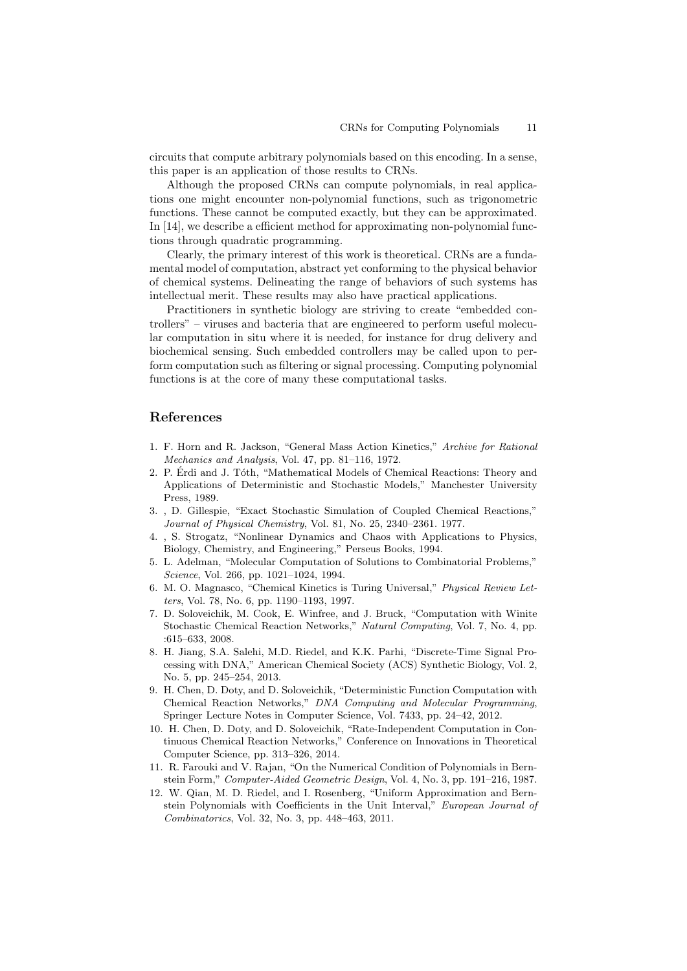circuits that compute arbitrary polynomials based on this encoding. In a sense, this paper is an application of those results to CRNs.

Although the proposed CRNs can compute polynomials, in real applications one might encounter non-polynomial functions, such as trigonometric functions. These cannot be computed exactly, but they can be approximated. In [14], we describe a efficient method for approximating non-polynomial functions through quadratic programming.

Clearly, the primary interest of this work is theoretical. CRNs are a fundamental model of computation, abstract yet conforming to the physical behavior of chemical systems. Delineating the range of behaviors of such systems has intellectual merit. These results may also have practical applications.

Practitioners in synthetic biology are striving to create "embedded controllers" – viruses and bacteria that are engineered to perform useful molecular computation in situ where it is needed, for instance for drug delivery and biochemical sensing. Such embedded controllers may be called upon to perform computation such as filtering or signal processing. Computing polynomial functions is at the core of many these computational tasks.

### References

- 1. F. Horn and R. Jackson, "General Mass Action Kinetics," Archive for Rational Mechanics and Analysis, Vol. 47, pp. 81–116, 1972.
- 2. P. Erdi and J. Tóth, "Mathematical Models of Chemical Reactions: Theory and Applications of Deterministic and Stochastic Models," Manchester University Press, 1989.
- 3. , D. Gillespie, "Exact Stochastic Simulation of Coupled Chemical Reactions," Journal of Physical Chemistry, Vol. 81, No. 25, 2340–2361. 1977.
- 4. , S. Strogatz, "Nonlinear Dynamics and Chaos with Applications to Physics, Biology, Chemistry, and Engineering," Perseus Books, 1994.
- 5. L. Adelman, "Molecular Computation of Solutions to Combinatorial Problems," Science, Vol. 266, pp. 1021–1024, 1994.
- 6. M. O. Magnasco, "Chemical Kinetics is Turing Universal," Physical Review Letters, Vol. 78, No. 6, pp. 1190–1193, 1997.
- 7. D. Soloveichik, M. Cook, E. Winfree, and J. Bruck, "Computation with Winite Stochastic Chemical Reaction Networks," Natural Computing, Vol. 7, No. 4, pp. :615–633, 2008.
- 8. H. Jiang, S.A. Salehi, M.D. Riedel, and K.K. Parhi, "Discrete-Time Signal Processing with DNA," American Chemical Society (ACS) Synthetic Biology, Vol. 2, No. 5, pp. 245–254, 2013.
- 9. H. Chen, D. Doty, and D. Soloveichik, "Deterministic Function Computation with Chemical Reaction Networks," DNA Computing and Molecular Programming, Springer Lecture Notes in Computer Science, Vol. 7433, pp. 24–42, 2012.
- 10. H. Chen, D. Doty, and D. Soloveichik, "Rate-Independent Computation in Continuous Chemical Reaction Networks," Conference on Innovations in Theoretical Computer Science, pp. 313–326, 2014.
- 11. R. Farouki and V. Rajan, "On the Numerical Condition of Polynomials in Bernstein Form," Computer-Aided Geometric Design, Vol. 4, No. 3, pp. 191–216, 1987.
- 12. W. Qian, M. D. Riedel, and I. Rosenberg, "Uniform Approximation and Bernstein Polynomials with Coefficients in the Unit Interval," European Journal of Combinatorics, Vol. 32, No. 3, pp. 448–463, 2011.